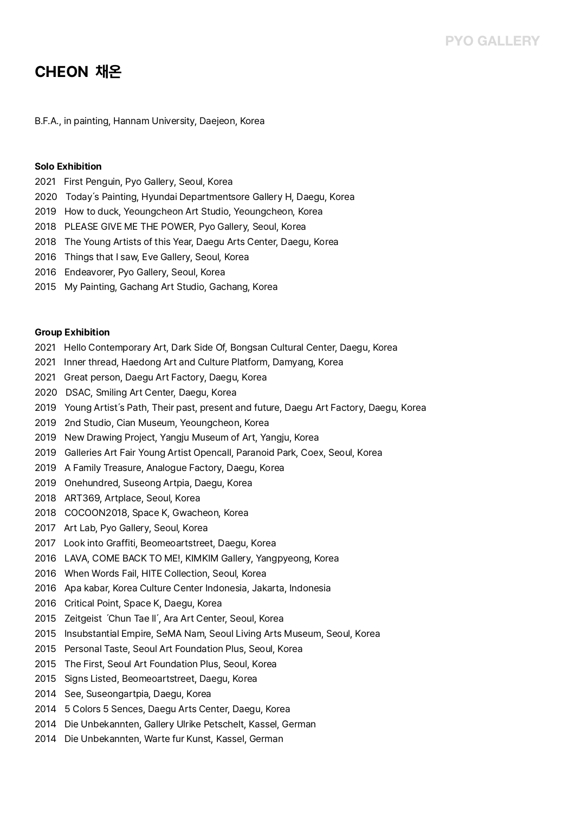# **CHEON 채온**

B.F.A., in painting, Hannam University, Daejeon, Korea

### **Solo Exhibition**

- 2021 First Penguin, Pyo Gallery, Seoul, Korea
- 2020 Today's Painting, Hyundai Departmentsore Gallery H, Daegu, Korea
- 2019 How to duck, Yeoungcheon Art Studio, Yeoungcheon, Korea
- 2018 PLEASE GIVE ME THE POWER, Pyo Gallery, Seoul, Korea
- 2018 The Young Artists of this Year, Daegu Arts Center, Daegu, Korea
- <sup>2016</sup> Things that I saw, Eve Gallery, Seoul, Korea 2016 Endeavorer, Pyo Gallery, Seoul, Korea
- 
- 2015 My Painting, Gachang Art Studio, Gachang, Korea

#### **Group Exhibition**

- 2021 Hello Contemporary Art, Dark Side Of, Bongsan Cultural Center, Daegu, Korea
- 2021 Inner thread, Haedong Art and Culture Platform, Damyang, Korea
- 2021 Great person, Daegu Art Factory, Daegu, Korea
- 2020 DSAC, Smiling Art Center, Daegu, Korea
- 2019 Young Artist's Path, Their past, present and future, Daegu Art Factory, Daegu, Korea
- 2019 2nd Studio, Cian Museum, Yeoungcheon, Korea
- 2019 New Drawing Project, Yangju Museum of Art, Yangju, Korea
- 2019 Galleries Art Fair Young Artist Opencall, Paranoid Park, Coex, Seoul, Korea
- 2019 A Family Treasure, Analogue Factory, Daegu, Korea
- 2019 Onehundred, Suseong Artpia, Daegu, Korea
- 2018 ART369, Artplace, Seoul, Korea
- 2018 COCOON2018, Space K, Gwacheon, Korea
- 2017 Art Lab, Pyo Gallery, Seoul, Korea
- 2017 Look into Graffiti, Beomeoartstreet, Daegu, Korea
- 2016 LAVA, COME BACK TO ME!, KIMKIM Gallery, Yangpyeong, Korea
- 2016 When Words Fail, HITE Collection, Seoul, Korea
- 2016 Apa kabar, Korea Culture Center Indonesia, Jakarta, Indonesia
- 2016 Critical Point, Space K, Daegu, Korea
- 
- 2015 Zeitgeist 'Chun Tae II', Ara Art Center, Seoul, Korea<br>2015 Insubstantial Empire, SeMA Nam, Seoul Living Arts Museum, Seoul, Korea
- 2015 Personal Taste, Seoul Art Foundation Plus, Seoul, Korea
- 2015 The First, Seoul Art Foundation Plus, Seoul, Korea
- 2015 Signs Listed, Beomeoartstreet, Daegu, Korea
- 2014 See, Suseongartpia, Daegu, Korea
- <sup>2014</sup> 5 Colors 5 Sences, Daegu Arts Center, Daegu, Korea 2014 Die Unbekannten, Gallery Ulrike Petschelt, Kassel, German
- 
- 2014 Die Unbekannten, Warte fur Kunst, Kassel, German